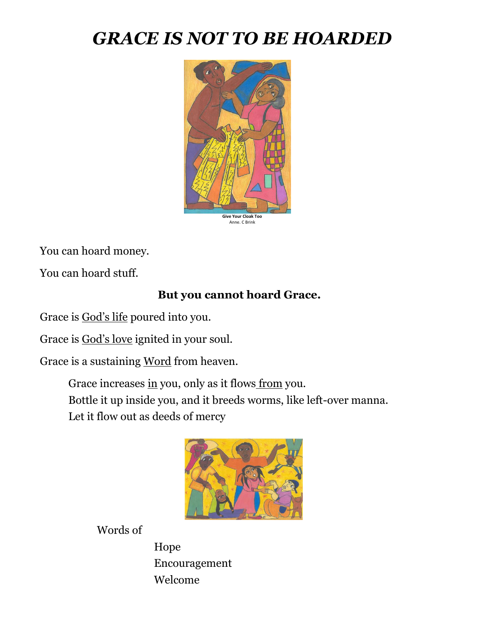# *GRACE IS NOT TO BE HOARDED*



You can hoard money.

You can hoard stuff.

# **But you cannot hoard Grace.**

Grace is God's life poured into you.

Grace is God's love ignited in your soul.

Grace is a sustaining Word from heaven.

Grace increases in you, only as it flows from you. Bottle it up inside you, and it breeds worms, like left-over manna. Let it flow out as deeds of mercy



Words of

Hope Encouragement Welcome